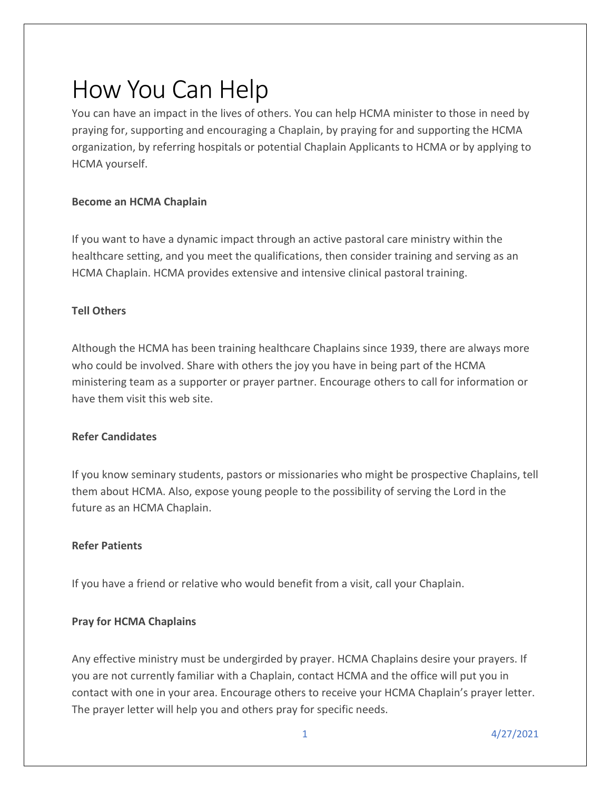# How You Can Help

You can have an impact in the lives of others. You can help HCMA minister to those in need by praying for, supporting and encouraging a Chaplain, by praying for and supporting the HCMA organization, by referring hospitals or potential Chaplain Applicants to HCMA or by applying to HCMA yourself.

# **Become an HCMA Chaplain**

If you want to have a dynamic impact through an active pastoral care ministry within the healthcare setting, and you meet the qualifications, then consider training and serving as an HCMA Chaplain. HCMA provides extensive and intensive clinical pastoral training.

# **Tell Others**

Although the HCMA has been training healthcare Chaplains since 1939, there are always more who could be involved. Share with others the joy you have in being part of the HCMA ministering team as a supporter or prayer partner. Encourage others to call for information or have them visit this web site.

#### **Refer Candidates**

If you know seminary students, pastors or missionaries who might be prospective Chaplains, tell them about HCMA. Also, expose young people to the possibility of serving the Lord in the future as an HCMA Chaplain.

# **Refer Patients**

If you have a friend or relative who would benefit from a visit, call your Chaplain.

# **Pray for HCMA Chaplains**

Any effective ministry must be undergirded by prayer. HCMA Chaplains desire your prayers. If you are not currently familiar with a Chaplain, contact HCMA and the office will put you in contact with one in your area. Encourage others to receive your HCMA Chaplain's prayer letter. The prayer letter will help you and others pray for specific needs.

1 4/27/2021